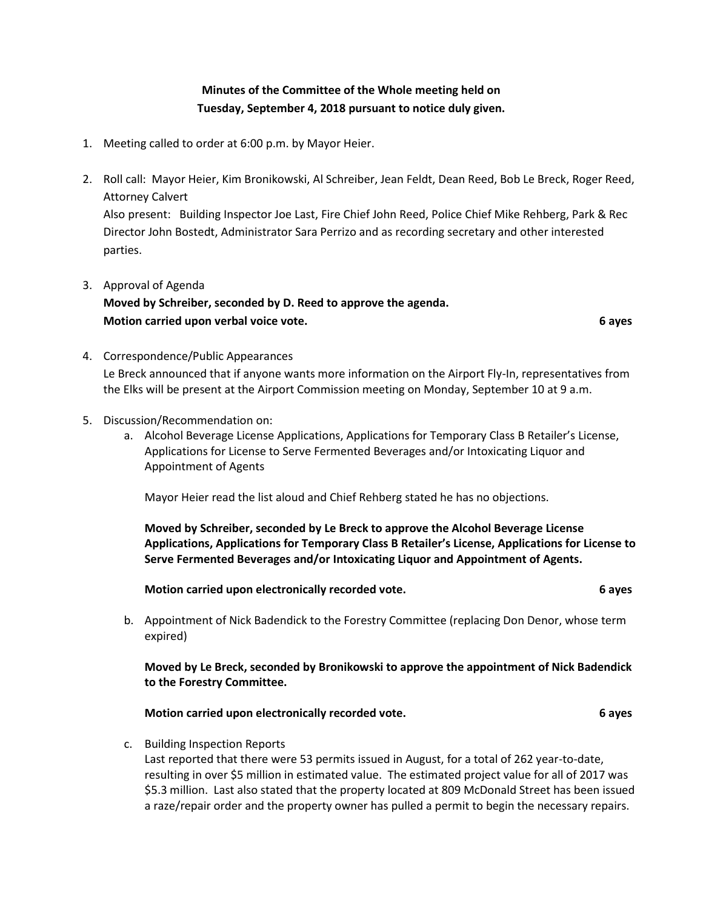# **Minutes of the Committee of the Whole meeting held on Tuesday, September 4, 2018 pursuant to notice duly given.**

- 1. Meeting called to order at 6:00 p.m. by Mayor Heier.
- 2. Roll call: Mayor Heier, Kim Bronikowski, Al Schreiber, Jean Feldt, Dean Reed, Bob Le Breck, Roger Reed, Attorney Calvert

Also present: Building Inspector Joe Last, Fire Chief John Reed, Police Chief Mike Rehberg, Park & Rec Director John Bostedt, Administrator Sara Perrizo and as recording secretary and other interested parties.

3. Approval of Agenda

**Moved by Schreiber, seconded by D. Reed to approve the agenda. Motion carried upon verbal voice vote. 6 ayes**

- 4. Correspondence/Public Appearances Le Breck announced that if anyone wants more information on the Airport Fly-In, representatives from the Elks will be present at the Airport Commission meeting on Monday, September 10 at 9 a.m.
- 5. Discussion/Recommendation on:
	- a. Alcohol Beverage License Applications, Applications for Temporary Class B Retailer's License, Applications for License to Serve Fermented Beverages and/or Intoxicating Liquor and Appointment of Agents

Mayor Heier read the list aloud and Chief Rehberg stated he has no objections.

**Moved by Schreiber, seconded by Le Breck to approve the Alcohol Beverage License Applications, Applications for Temporary Class B Retailer's License, Applications for License to Serve Fermented Beverages and/or Intoxicating Liquor and Appointment of Agents.**

**Motion carried upon electronically recorded vote. 6 ayes**

b. Appointment of Nick Badendick to the Forestry Committee (replacing Don Denor, whose term expired)

**Moved by Le Breck, seconded by Bronikowski to approve the appointment of Nick Badendick to the Forestry Committee.**

**Motion carried upon electronically recorded vote. 6 ayes**

c. Building Inspection Reports

Last reported that there were 53 permits issued in August, for a total of 262 year-to-date, resulting in over \$5 million in estimated value. The estimated project value for all of 2017 was \$5.3 million. Last also stated that the property located at 809 McDonald Street has been issued a raze/repair order and the property owner has pulled a permit to begin the necessary repairs.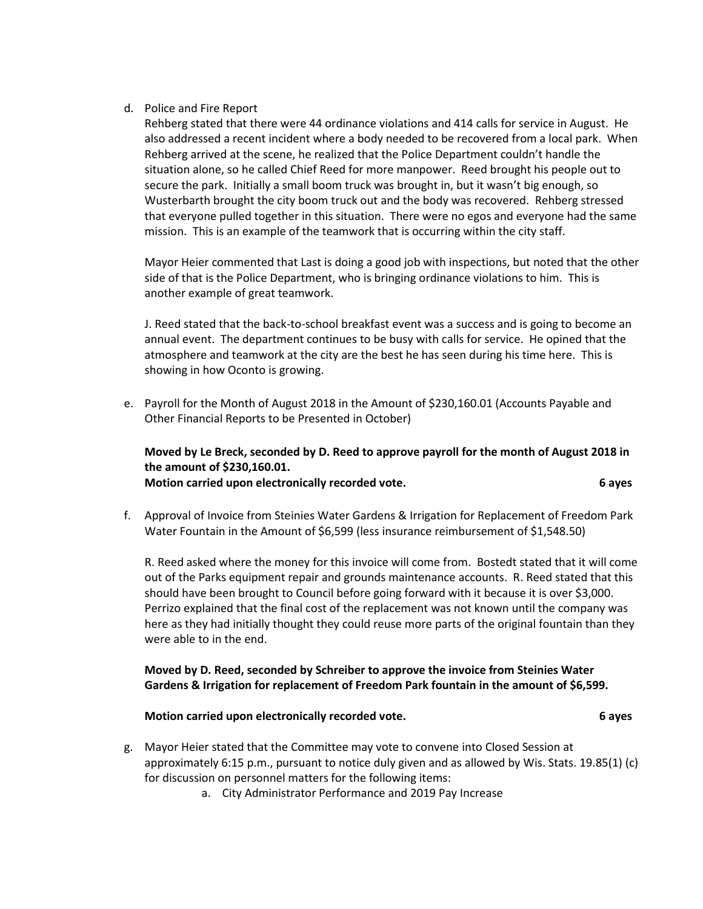### d. Police and Fire Report

Rehberg stated that there were 44 ordinance violations and 414 calls for service in August. He also addressed a recent incident where a body needed to be recovered from a local park. When Rehberg arrived at the scene, he realized that the Police Department couldn't handle the situation alone, so he called Chief Reed for more manpower. Reed brought his people out to secure the park. Initially a small boom truck was brought in, but it wasn't big enough, so Wusterbarth brought the city boom truck out and the body was recovered. Rehberg stressed that everyone pulled together in this situation. There were no egos and everyone had the same mission. This is an example of the teamwork that is occurring within the city staff.

Mayor Heier commented that Last is doing a good job with inspections, but noted that the other side of that is the Police Department, who is bringing ordinance violations to him. This is another example of great teamwork.

J. Reed stated that the back-to-school breakfast event was a success and is going to become an annual event. The department continues to be busy with calls for service. He opined that the atmosphere and teamwork at the city are the best he has seen during his time here. This is showing in how Oconto is growing.

e. Payroll for the Month of August 2018 in the Amount of \$230,160.01 (Accounts Payable and Other Financial Reports to be Presented in October)

## **Moved by Le Breck, seconded by D. Reed to approve payroll for the month of August 2018 in the amount of \$230,160.01. Motion carried upon electronically recorded vote. 6 ayes**

f. Approval of Invoice from Steinies Water Gardens & Irrigation for Replacement of Freedom Park Water Fountain in the Amount of \$6,599 (less insurance reimbursement of \$1,548.50)

R. Reed asked where the money for this invoice will come from. Bostedt stated that it will come out of the Parks equipment repair and grounds maintenance accounts. R. Reed stated that this should have been brought to Council before going forward with it because it is over \$3,000. Perrizo explained that the final cost of the replacement was not known until the company was here as they had initially thought they could reuse more parts of the original fountain than they were able to in the end.

## **Moved by D. Reed, seconded by Schreiber to approve the invoice from Steinies Water Gardens & Irrigation for replacement of Freedom Park fountain in the amount of \$6,599.**

### **Motion carried upon electronically recorded vote. 6 ayes**

- g. Mayor Heier stated that the Committee may vote to convene into Closed Session at approximately 6:15 p.m., pursuant to notice duly given and as allowed by Wis. Stats. 19.85(1) (c) for discussion on personnel matters for the following items:
	- a. City Administrator Performance and 2019 Pay Increase